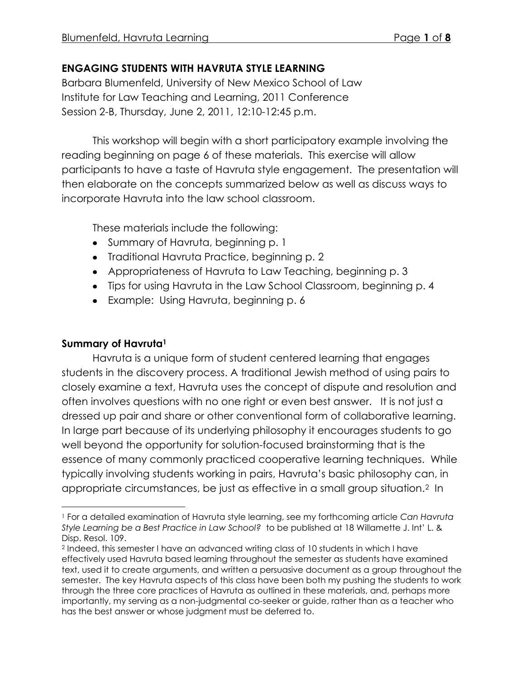# **ENGAGING STUDENTS WITH HAVRUTA STYLE LEARNING**

Barbara Blumenfeld, University of New Mexico School of Law Institute for Law Teaching and Learning, 2011 Conference Session 2-B, Thursday, June 2, 2011, 12:10-12:45 p.m.

This workshop will begin with a short participatory example involving the reading beginning on page 6 of these materials. This exercise will allow participants to have a taste of Havruta style engagement. The presentation will then elaborate on the concepts summarized below as well as discuss ways to incorporate Havruta into the law school classroom.

These materials include the following:

- Summary of Havruta, beginning p. 1
- Traditional Havruta Practice, beginning p. 2
- Appropriateness of Havruta to Law Teaching, beginning p. 3
- Tips for using Havruta in the Law School Classroom, beginning p. 4
- Example: Using Havruta, beginning p. 6

# **Summary of Havruta<sup>1</sup>**

 $\overline{a}$ 

Havruta is a unique form of student centered learning that engages students in the discovery process. A traditional Jewish method of using pairs to closely examine a text, Havruta uses the concept of dispute and resolution and often involves questions with no one right or even best answer. It is not just a dressed up pair and share or other conventional form of collaborative learning. In large part because of its underlying philosophy it encourages students to go well beyond the opportunity for solution-focused brainstorming that is the essence of many commonly practiced cooperative learning techniques. While typically involving students working in pairs, Havruta's basic philosophy can, in appropriate circumstances, be just as effective in a small group situation.2 In

<sup>1</sup> For a detailed examination of Havruta style learning, see my forthcoming article *Can Havruta Style Learning be a Best Practice in Law School?* to be published at 18 Willamette J. Int' L. & Disp. Resol. 109.

<sup>2</sup> Indeed, this semester I have an advanced writing class of 10 students in which I have effectively used Havruta based learning throughout the semester as students have examined text, used it to create arguments, and written a persuasive document as a group throughout the semester. The key Havruta aspects of this class have been both my pushing the students to work through the three core practices of Havruta as outlined in these materials, and, perhaps more importantly, my serving as a non-judgmental co-seeker or guide, rather than as a teacher who has the best answer or whose judgment must be deferred to.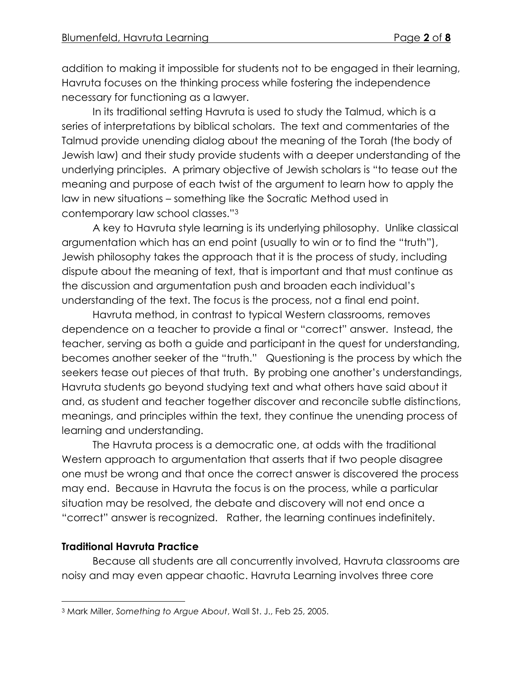addition to making it impossible for students not to be engaged in their learning, Havruta focuses on the thinking process while fostering the independence necessary for functioning as a lawyer.

In its traditional setting Havruta is used to study the Talmud, which is a series of interpretations by biblical scholars. The text and commentaries of the Talmud provide unending dialog about the meaning of the Torah (the body of Jewish law) and their study provide students with a deeper understanding of the underlying principles. A primary objective of Jewish scholars is "to tease out the meaning and purpose of each twist of the argument to learn how to apply the law in new situations – something like the Socratic Method used in contemporary law school classes."<sup>3</sup>

A key to Havruta style learning is its underlying philosophy. Unlike classical argumentation which has an end point (usually to win or to find the "truth"), Jewish philosophy takes the approach that it is the process of study, including dispute about the meaning of text, that is important and that must continue as the discussion and argumentation push and broaden each individual's understanding of the text. The focus is the process, not a final end point.

Havruta method, in contrast to typical Western classrooms, removes dependence on a teacher to provide a final or "correct" answer. Instead, the teacher, serving as both a guide and participant in the quest for understanding, becomes another seeker of the "truth." Questioning is the process by which the seekers tease out pieces of that truth. By probing one another's understandings, Havruta students go beyond studying text and what others have said about it and, as student and teacher together discover and reconcile subtle distinctions, meanings, and principles within the text, they continue the unending process of learning and understanding.

The Havruta process is a democratic one, at odds with the traditional Western approach to argumentation that asserts that if two people disagree one must be wrong and that once the correct answer is discovered the process may end. Because in Havruta the focus is on the process, while a particular situation may be resolved, the debate and discovery will not end once a "correct" answer is recognized. Rather, the learning continues indefinitely.

# **Traditional Havruta Practice**

 $\overline{a}$ 

Because all students are all concurrently involved, Havruta classrooms are noisy and may even appear chaotic. Havruta Learning involves three core

<sup>3</sup> Mark Miller, *Something to Argue About*, Wall St. J., Feb 25, 2005.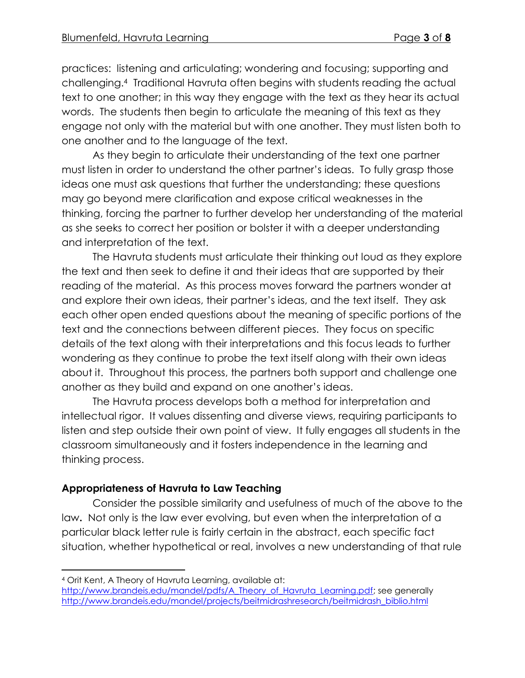practices: listening and articulating; wondering and focusing; supporting and challenging. <sup>4</sup> Traditional Havruta often begins with students reading the actual text to one another; in this way they engage with the text as they hear its actual words. The students then begin to articulate the meaning of this text as they engage not only with the material but with one another. They must listen both to one another and to the language of the text.

As they begin to articulate their understanding of the text one partner must listen in order to understand the other partner's ideas. To fully grasp those ideas one must ask questions that further the understanding; these questions may go beyond mere clarification and expose critical weaknesses in the thinking, forcing the partner to further develop her understanding of the material as she seeks to correct her position or bolster it with a deeper understanding and interpretation of the text.

The Havruta students must articulate their thinking out loud as they explore the text and then seek to define it and their ideas that are supported by their reading of the material. As this process moves forward the partners wonder at and explore their own ideas, their partner's ideas, and the text itself. They ask each other open ended questions about the meaning of specific portions of the text and the connections between different pieces. They focus on specific details of the text along with their interpretations and this focus leads to further wondering as they continue to probe the text itself along with their own ideas about it. Throughout this process, the partners both support and challenge one another as they build and expand on one another's ideas.

The Havruta process develops both a method for interpretation and intellectual rigor. It values dissenting and diverse views, requiring participants to listen and step outside their own point of view. It fully engages all students in the classroom simultaneously and it fosters independence in the learning and thinking process.

## **Appropriateness of Havruta to Law Teaching**

Consider the possible similarity and usefulness of much of the above to the law**.** Not only is the law ever evolving, but even when the interpretation of a particular black letter rule is fairly certain in the abstract, each specific fact situation, whether hypothetical or real, involves a new understanding of that rule

 $\overline{a}$ 

<sup>4</sup> Orit Kent, A Theory of Havruta Learning, available at:

[http://www.brandeis.edu/mandel/pdfs/A\\_Theory\\_of\\_Havruta\\_Learning.pdf;](http://www.brandeis.edu/mandel/pdfs/A_Theory_of_Havruta_Learning.pdf) see generally [http://www.brandeis.edu/mandel/projects/beitmidrashresearch/beitmidrash\\_biblio.html](http://www.brandeis.edu/mandel/projects/beitmidrashresearch/beitmidrash_biblio.html)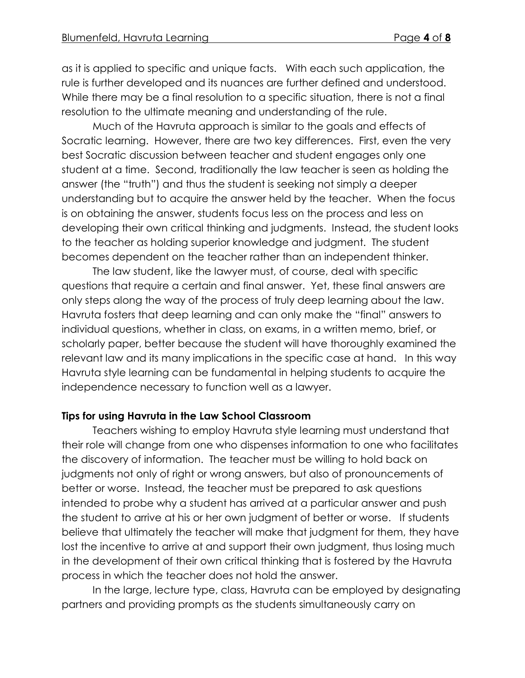as it is applied to specific and unique facts. With each such application, the rule is further developed and its nuances are further defined and understood. While there may be a final resolution to a specific situation, there is not a final resolution to the ultimate meaning and understanding of the rule.

Much of the Havruta approach is similar to the goals and effects of Socratic learning. However, there are two key differences. First, even the very best Socratic discussion between teacher and student engages only one student at a time. Second, traditionally the law teacher is seen as holding the answer (the "truth") and thus the student is seeking not simply a deeper understanding but to acquire the answer held by the teacher. When the focus is on obtaining the answer, students focus less on the process and less on developing their own critical thinking and judgments. Instead, the student looks to the teacher as holding superior knowledge and judgment. The student becomes dependent on the teacher rather than an independent thinker.

The law student, like the lawyer must, of course, deal with specific questions that require a certain and final answer. Yet, these final answers are only steps along the way of the process of truly deep learning about the law. Havruta fosters that deep learning and can only make the "final" answers to individual questions, whether in class, on exams, in a written memo, brief, or scholarly paper, better because the student will have thoroughly examined the relevant law and its many implications in the specific case at hand. In this way Havruta style learning can be fundamental in helping students to acquire the independence necessary to function well as a lawyer.

## **Tips for using Havruta in the Law School Classroom**

Teachers wishing to employ Havruta style learning must understand that their role will change from one who dispenses information to one who facilitates the discovery of information. The teacher must be willing to hold back on judgments not only of right or wrong answers, but also of pronouncements of better or worse. Instead, the teacher must be prepared to ask questions intended to probe why a student has arrived at a particular answer and push the student to arrive at his or her own judgment of better or worse. If students believe that ultimately the teacher will make that judgment for them, they have lost the incentive to arrive at and support their own judgment, thus losing much in the development of their own critical thinking that is fostered by the Havruta process in which the teacher does not hold the answer.

In the large, lecture type, class, Havruta can be employed by designating partners and providing prompts as the students simultaneously carry on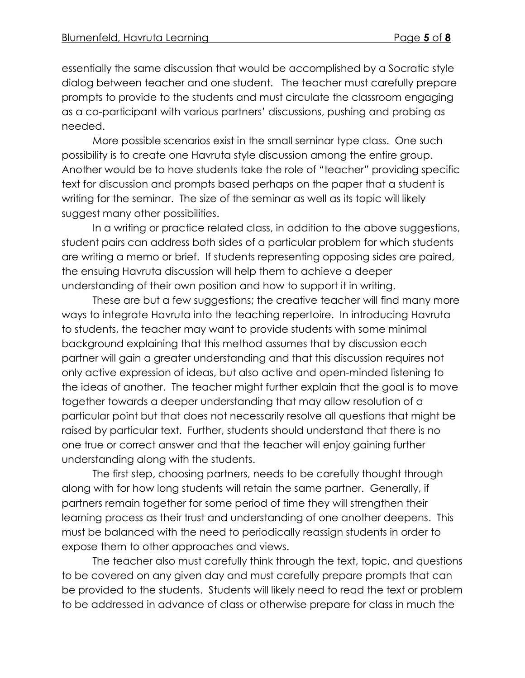essentially the same discussion that would be accomplished by a Socratic style dialog between teacher and one student. The teacher must carefully prepare prompts to provide to the students and must circulate the classroom engaging as a co-participant with various partners' discussions, pushing and probing as needed.

More possible scenarios exist in the small seminar type class. One such possibility is to create one Havruta style discussion among the entire group. Another would be to have students take the role of "teacher" providing specific text for discussion and prompts based perhaps on the paper that a student is writing for the seminar. The size of the seminar as well as its topic will likely suggest many other possibilities.

In a writing or practice related class, in addition to the above suggestions, student pairs can address both sides of a particular problem for which students are writing a memo or brief. If students representing opposing sides are paired, the ensuing Havruta discussion will help them to achieve a deeper understanding of their own position and how to support it in writing.

These are but a few suggestions; the creative teacher will find many more ways to integrate Havruta into the teaching repertoire. In introducing Havruta to students, the teacher may want to provide students with some minimal background explaining that this method assumes that by discussion each partner will gain a greater understanding and that this discussion requires not only active expression of ideas, but also active and open-minded listening to the ideas of another. The teacher might further explain that the goal is to move together towards a deeper understanding that may allow resolution of a particular point but that does not necessarily resolve all questions that might be raised by particular text. Further, students should understand that there is no one true or correct answer and that the teacher will enjoy gaining further understanding along with the students.

The first step, choosing partners, needs to be carefully thought through along with for how long students will retain the same partner. Generally, if partners remain together for some period of time they will strengthen their learning process as their trust and understanding of one another deepens. This must be balanced with the need to periodically reassign students in order to expose them to other approaches and views.

The teacher also must carefully think through the text, topic, and questions to be covered on any given day and must carefully prepare prompts that can be provided to the students. Students will likely need to read the text or problem to be addressed in advance of class or otherwise prepare for class in much the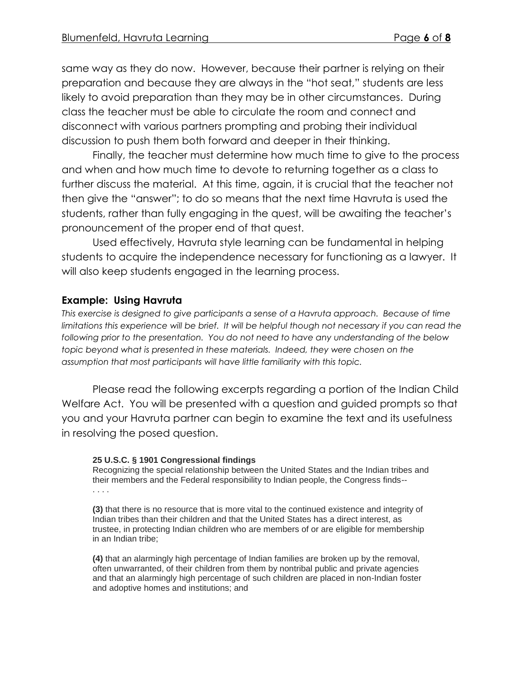same way as they do now. However, because their partner is relying on their preparation and because they are always in the "hot seat," students are less likely to avoid preparation than they may be in other circumstances. During class the teacher must be able to circulate the room and connect and disconnect with various partners prompting and probing their individual discussion to push them both forward and deeper in their thinking.

Finally, the teacher must determine how much time to give to the process and when and how much time to devote to returning together as a class to further discuss the material. At this time, again, it is crucial that the teacher not then give the "answer"; to do so means that the next time Havruta is used the students, rather than fully engaging in the quest, will be awaiting the teacher's pronouncement of the proper end of that quest.

Used effectively, Havruta style learning can be fundamental in helping students to acquire the independence necessary for functioning as a lawyer. It will also keep students engaged in the learning process.

## **Example: Using Havruta**

*This exercise is designed to give participants a sense of a Havruta approach. Because of time limitations this experience will be brief. It will be helpful though not necessary if you can read the following prior to the presentation. You do not need to have any understanding of the below topic beyond what is presented in these materials. Indeed, they were chosen on the assumption that most participants will have little familiarity with this topic.*

Please read the following excerpts regarding a portion of the Indian Child Welfare Act. You will be presented with a question and guided prompts so that you and your Havruta partner can begin to examine the text and its usefulness in resolving the posed question.

### **25 U.S.C. § 1901 Congressional findings**

Recognizing the special relationship between the United States and the Indian tribes and their members and the Federal responsibility to Indian people, the Congress finds-- . . . .

**(3)** that there is no resource that is more vital to the continued existence and integrity of Indian tribes than their children and that the United States has a direct interest, as trustee, in protecting Indian children who are members of or are eligible for membership in an Indian tribe;

**(4)** that an alarmingly high percentage of Indian families are broken up by the removal, often unwarranted, of their children from them by nontribal public and private agencies and that an alarmingly high percentage of such children are placed in non-Indian foster and adoptive homes and institutions; and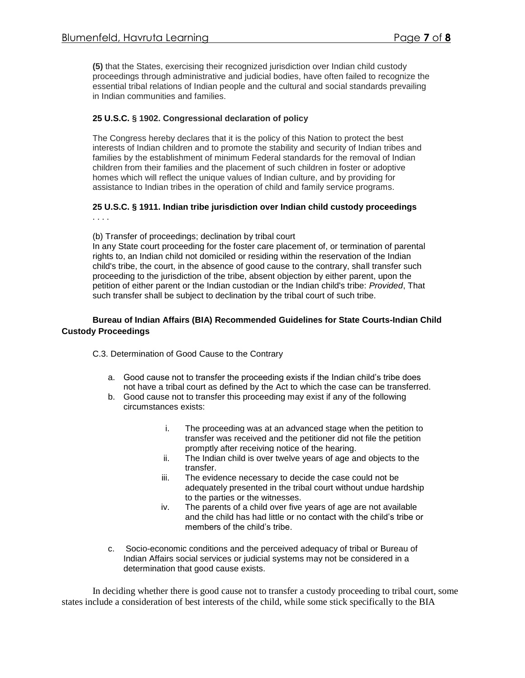**(5)** that the States, exercising their recognized jurisdiction over Indian child custody proceedings through administrative and judicial bodies, have often failed to recognize the essential tribal relations of Indian people and the cultural and social standards prevailing in Indian communities and families.

#### **25 U.S.C. § 1902. Congressional declaration of policy**

The Congress hereby declares that it is the policy of this Nation to protect the best interests of Indian children and to promote the stability and security of Indian tribes and families by the establishment of minimum Federal standards for the removal of Indian children from their families and the placement of such children in foster or adoptive homes which will reflect the unique values of Indian culture, and by providing for assistance to Indian tribes in the operation of child and family service programs.

#### **25 U.S.C. § 1911. Indian tribe jurisdiction over Indian child custody proceedings** . . . .

(b) Transfer of proceedings; declination by tribal court

In any State court proceeding for the foster care placement of, or termination of parental rights to, an Indian child not domiciled or residing within the reservation of the Indian child's tribe, the court, in the absence of good cause to the contrary, shall transfer such proceeding to the jurisdiction of the tribe, absent objection by either parent, upon the petition of either parent or the Indian custodian or the Indian child's tribe: *Provided*, That such transfer shall be subject to declination by the tribal court of such tribe.

#### **Bureau of Indian Affairs (BIA) Recommended Guidelines for State Courts-Indian Child Custody Proceedings**

C.3. Determination of Good Cause to the Contrary

- a. Good cause not to transfer the proceeding exists if the Indian child's tribe does not have a tribal court as defined by the Act to which the case can be transferred.
- b. Good cause not to transfer this proceeding may exist if any of the following circumstances exists:
	- i. The proceeding was at an advanced stage when the petition to transfer was received and the petitioner did not file the petition promptly after receiving notice of the hearing.
	- ii. The Indian child is over twelve years of age and objects to the transfer.
	- iii. The evidence necessary to decide the case could not be adequately presented in the tribal court without undue hardship to the parties or the witnesses.
	- iv. The parents of a child over five years of age are not available and the child has had little or no contact with the child's tribe or members of the child's tribe.
- c. Socio-economic conditions and the perceived adequacy of tribal or Bureau of Indian Affairs social services or judicial systems may not be considered in a determination that good cause exists.

In deciding whether there is good cause not to transfer a custody proceeding to tribal court, some states include a consideration of best interests of the child, while some stick specifically to the BIA